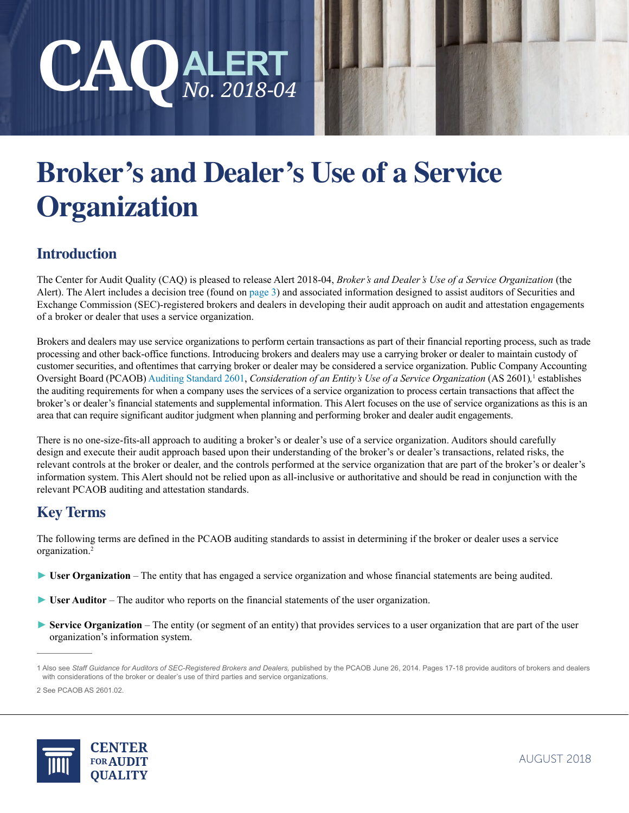



# **Broker's and Dealer's Use of a Service Organization**

# **Introduction**

The Center for Audit Quality (CAQ) is pleased to release Alert 2018-04, *Broker's and Dealer's Use of a Service Organization* (the Alert). The Alert includes a decision tree (found on [page 3](#page-2-0)) and associated information designed to assist auditors of Securities and Exchange Commission (SEC)-registered brokers and dealers in developing their audit approach on audit and attestation engagements of a broker or dealer that uses a service organization.

Brokers and dealers may use service organizations to perform certain transactions as part of their financial reporting process, such as trade processing and other back-office functions. Introducing brokers and dealers may use a carrying broker or dealer to maintain custody of customer securities, and oftentimes that carrying broker or dealer may be considered a service organization. Public Company Accounting Oversight Board (PCAOB) [Auditing Standard 2601](https://pcaobus.org/Standards/Auditing/Pages/AS2601.aspx), *Consideration of an Entity's Use of a Service Organization* (AS 2601),<sup>1</sup> establishes the auditing requirements for when a company uses the services of a service organization to process certain transactions that affect the broker's or dealer's financial statements and supplemental information. This Alert focuses on the use of service organizations as this is an area that can require significant auditor judgment when planning and performing broker and dealer audit engagements.

There is no one-size-fits-all approach to auditing a broker's or dealer's use of a service organization. Auditors should carefully design and execute their audit approach based upon their understanding of the broker's or dealer's transactions, related risks, the relevant controls at the broker or dealer, and the controls performed at the service organization that are part of the broker's or dealer's information system. This Alert should not be relied upon as all-inclusive or authoritative and should be read in conjunction with the relevant PCAOB auditing and attestation standards.

# **Key Terms**

The following terms are defined in the PCAOB auditing standards to assist in determining if the broker or dealer uses a service organization.2

- ► **User Organization** The entity that has engaged a service organization and whose financial statements are being audited.
- ► **User Auditor** The auditor who reports on the financial statements of the user organization.
- ► **Service Organization** The entity (or segment of an entity) that provides services to a user organization that are part of the user organization's information system.



<sup>1</sup> Also see *Staff Guidance for Auditors of SEC-Registered Brokers and Dealers,* published by the PCAOB June 26, 2014. Pages 17-18 provide auditors of brokers and dealers with considerations of the broker or dealer's use of third parties and service organizations.

<sup>2</sup> See PCAOB AS 2601.02.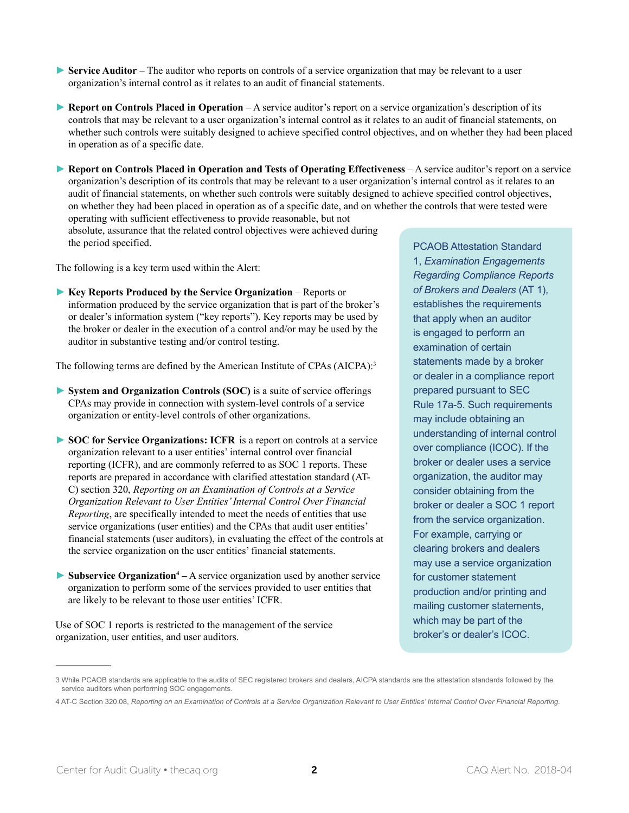- ► **Service Auditor** The auditor who reports on controls of a service organization that may be relevant to a user organization's internal control as it relates to an audit of financial statements.
- ► **Report on Controls Placed in Operation** A service auditor's report on a service organization's description of its controls that may be relevant to a user organization's internal control as it relates to an audit of financial statements, on whether such controls were suitably designed to achieve specified control objectives, and on whether they had been placed in operation as of a specific date.
- ► **Report on Controls Placed in Operation and Tests of Operating Effectiveness** A service auditor's report on a service organization's description of its controls that may be relevant to a user organization's internal control as it relates to an audit of financial statements, on whether such controls were suitably designed to achieve specified control objectives, on whether they had been placed in operation as of a specific date, and on whether the controls that were tested were operating with sufficient effectiveness to provide reasonable, but not

absolute, assurance that the related control objectives were achieved during the period specified.

The following is a key term used within the Alert:

► Key Reports Produced by the Service Organization – Reports or information produced by the service organization that is part of the broker's or dealer's information system ("key reports"). Key reports may be used by the broker or dealer in the execution of a control and/or may be used by the auditor in substantive testing and/or control testing.

The following terms are defined by the American Institute of CPAs (AICPA):<sup>3</sup>

- ► **System and Organization Controls (SOC)** is a suite of service offerings CPAs may provide in connection with system-level controls of a service organization or entity-level controls of other organizations.
- ► **SOC for Service Organizations: ICFR** is a report on controls at a service organization relevant to a user entities' internal control over financial reporting (ICFR), and are commonly referred to as SOC 1 reports. These reports are prepared in accordance with clarified attestation standard (AT-C) section 320, *Reporting on an Examination of Controls at a Service Organization Relevant to User Entities' Internal Control Over Financial Reporting*, are specifically intended to meet the needs of entities that use service organizations (user entities) and the CPAs that audit user entities' financial statements (user auditors), in evaluating the effect of the controls at the service organization on the user entities' financial statements.
- ► Subservice Organization<sup>4</sup> A service organization used by another service organization to perform some of the services provided to user entities that are likely to be relevant to those user entities' ICFR.

Use of SOC 1 reports is restricted to the management of the service organization, user entities, and user auditors.

PCAOB Attestation Standard 1, *Examination Engagements Regarding Compliance Reports of Brokers and Dealers* (AT 1), establishes the requirements that apply when an auditor is engaged to perform an examination of certain statements made by a broker or dealer in a compliance report prepared pursuant to SEC Rule 17a-5. Such requirements may include obtaining an understanding of internal control over compliance (ICOC). If the broker or dealer uses a service organization, the auditor may consider obtaining from the broker or dealer a SOC 1 report from the service organization. For example, carrying or clearing brokers and dealers may use a service organization for customer statement production and/or printing and mailing customer statements, which may be part of the broker's or dealer's ICOC.

<sup>3</sup> While PCAOB standards are applicable to the audits of SEC registered brokers and dealers, AICPA standards are the attestation standards followed by the service auditors when performing SOC engagements.

<sup>4</sup> AT-C Section 320.08, *Reporting on an Examination of Controls at a Service Organization Relevant to User Entities' Internal Control Over Financial Reporting.*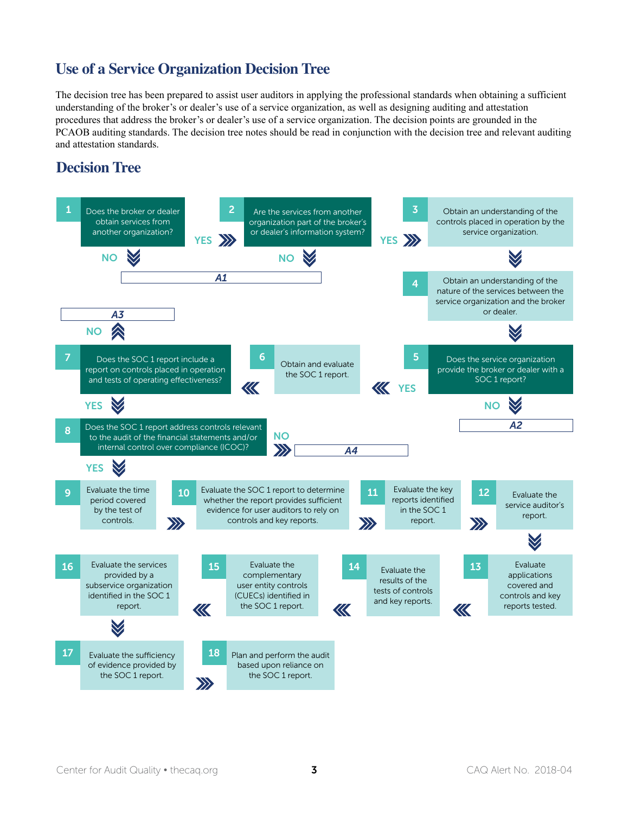## <span id="page-2-0"></span>**Use of a Service Organization Decision Tree**

The decision tree has been prepared to assist user auditors in applying the professional standards when obtaining a sufficient understanding of the broker's or dealer's use of a service organization, as well as designing auditing and attestation procedures that address the broker's or dealer's use of a service organization. The decision points are grounded in the PCAOB auditing standards. The decision tree notes should be read in conjunction with the decision tree and relevant auditing and attestation standards.

#### **Decision Tree**

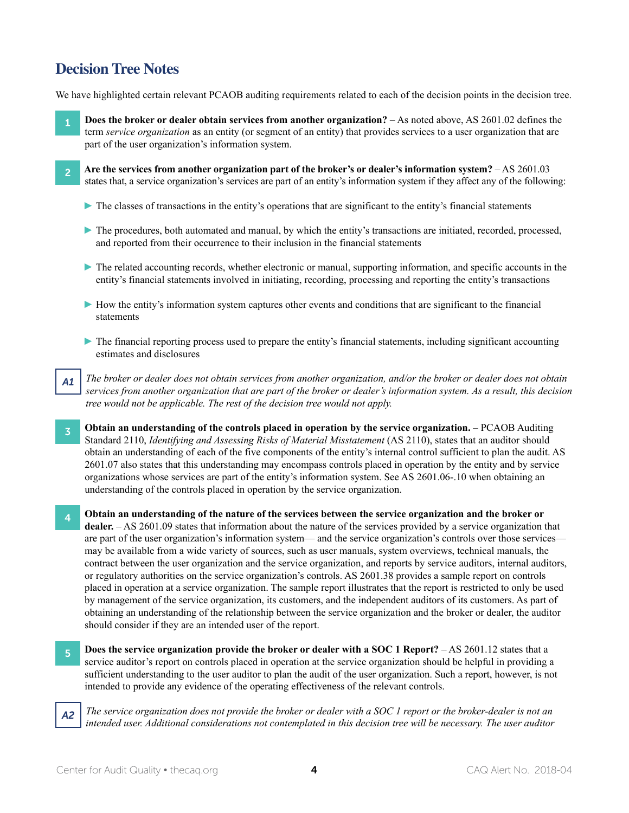## **Decision Tree Notes**

We have highlighted certain relevant PCAOB auditing requirements related to each of the decision points in the decision tree.

- 1 **Does the broker or dealer obtain services from another organization?**  As noted above, AS 2601.02 defines the term *service organization* as an entity (or segment of an entity) that provides services to a user organization that are part of the user organization's information system.
- 2 **Are the services from another organization part of the broker's or dealer's information system?**  AS 2601.03 states that, a service organization's services are part of an entity's information system if they affect any of the following:
	- ► The classes of transactions in the entity's operations that are significant to the entity's financial statements
	- ► The procedures, both automated and manual, by which the entity's transactions are initiated, recorded, processed, and reported from their occurrence to their inclusion in the financial statements
	- ► The related accounting records, whether electronic or manual, supporting information, and specific accounts in the entity's financial statements involved in initiating, recording, processing and reporting the entity's transactions
	- ► How the entity's information system captures other events and conditions that are significant to the financial statements
	- ► The financial reporting process used to prepare the entity's financial statements, including significant accounting estimates and disclosures
- *A1 The broker or dealer does not obtain services from another organization, and/or the broker or dealer does not obtain services from another organization that are part of the broker or dealer's information system. As a result, this decision tree would not be applicable. The rest of the decision tree would not apply.*
- **3** Obtain an understanding of the controls placed in operation by the service organization. PCAOB Auditing Standard 2110, *Identifying and Assessing Risks of Material Misstatement* (AS 2110), states that an auditor should obtain an understanding of each of the five components of the entity's internal control sufficient to plan the audit. AS 2601.07 also states that this understanding may encompass controls placed in operation by the entity and by service organizations whose services are part of the entity's information system. See AS 2601.06-.10 when obtaining an understanding of the controls placed in operation by the service organization.
- 4 **Obtain an understanding of the nature of the services between the service organization and the broker or dealer.** – AS 2601.09 states that information about the nature of the services provided by a service organization that are part of the user organization's information system— and the service organization's controls over those services may be available from a wide variety of sources, such as user manuals, system overviews, technical manuals, the contract between the user organization and the service organization, and reports by service auditors, internal auditors, or regulatory authorities on the service organization's controls. AS 2601.38 provides a sample report on controls placed in operation at a service organization. The sample report illustrates that the report is restricted to only be used by management of the service organization, its customers, and the independent auditors of its customers. As part of obtaining an understanding of the relationship between the service organization and the broker or dealer, the auditor should consider if they are an intended user of the report.
- <sup>5</sup> **Does the service organization provide the broker or dealer with a SOC 1 Report?** AS 2601.12 states that a service auditor's report on controls placed in operation at the service organization should be helpful in providing a sufficient understanding to the user auditor to plan the audit of the user organization. Such a report, however, is not intended to provide any evidence of the operating effectiveness of the relevant controls.
- *A2 The service organization does not provide the broker or dealer with a SOC 1 report or the broker-dealer is not an intended user. Additional considerations not contemplated in this decision tree will be necessary. The user auditor*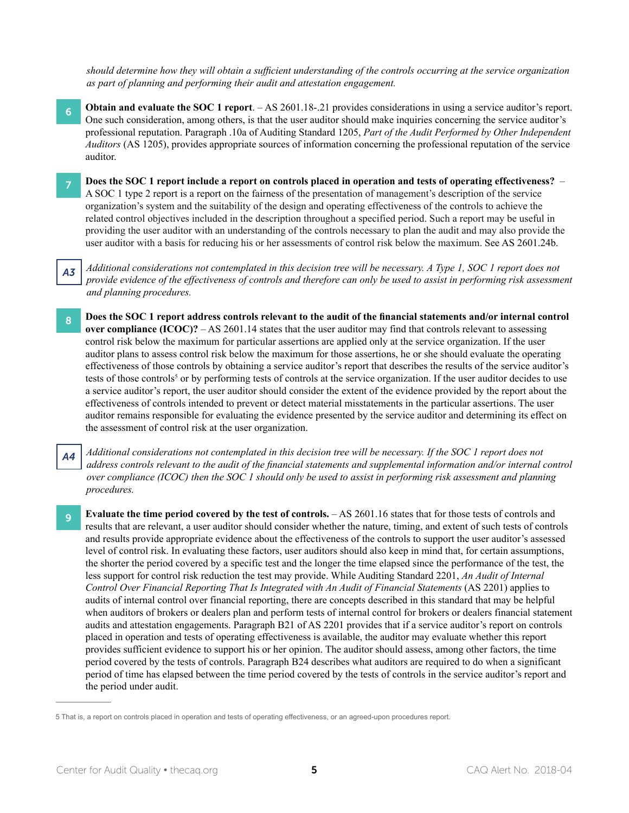*should determine how they will obtain a sufficient understanding of the controls occurring at the service organization as part of planning and performing their audit and attestation engagement.*

- **6** Obtain and evaluate the SOC 1 report. AS 2601.18-.21 provides considerations in using a service auditor's report. One such consideration, among others, is that the user auditor should make inquiries concerning the service auditor's professional reputation. Paragraph .10a of Auditing Standard 1205, *Part of the Audit Performed by Other Independent Auditors* (AS 1205), provides appropriate sources of information concerning the professional reputation of the service auditor.
	- 7 **Does the SOC 1 report include a report on controls placed in operation and tests of operating effectiveness?** A SOC 1 type 2 report is a report on the fairness of the presentation of management's description of the service organization's system and the suitability of the design and operating effectiveness of the controls to achieve the related control objectives included in the description throughout a specified period. Such a report may be useful in providing the user auditor with an understanding of the controls necessary to plan the audit and may also provide the user auditor with a basis for reducing his or her assessments of control risk below the maximum. See AS 2601.24b.
- *A3 Additional considerations not contemplated in this decision tree will be necessary. A Type 1, SOC 1 report does not provide evidence of the effectiveness of controls and therefore can only be used to assist in performing risk assessment and planning procedures.*
- 8 Does the SOC 1 report address controls relevant to the audit of the financial statements and/or internal control **over compliance (ICOC)?** – AS 2601.14 states that the user auditor may find that controls relevant to assessing control risk below the maximum for particular assertions are applied only at the service organization. If the user auditor plans to assess control risk below the maximum for those assertions, he or she should evaluate the operating effectiveness of those controls by obtaining a service auditor's report that describes the results of the service auditor's tests of those controls<sup>5</sup> or by performing tests of controls at the service organization. If the user auditor decides to use a service auditor's report, the user auditor should consider the extent of the evidence provided by the report about the effectiveness of controls intended to prevent or detect material misstatements in the particular assertions. The user auditor remains responsible for evaluating the evidence presented by the service auditor and determining its effect on the assessment of control risk at the user organization.
- *A4 Additional considerations not contemplated in this decision tree will be necessary. If the SOC 1 report does not address controls relevant to the audit of the financial statements and supplemental information and/or internal control over compliance (ICOC) then the SOC 1 should only be used to assist in performing risk assessment and planning procedures.*
- **Evaluate the time period covered by the test of controls.** AS 2601.16 states that for those tests of controls and results that are relevant, a user auditor should consider whether the nature, timing, and extent of such tests of controls and results provide appropriate evidence about the effectiveness of the controls to support the user auditor's assessed level of control risk. In evaluating these factors, user auditors should also keep in mind that, for certain assumptions, the shorter the period covered by a specific test and the longer the time elapsed since the performance of the test, the less support for control risk reduction the test may provide. While Auditing Standard 2201, *An Audit of Internal Control Over Financial Reporting That Is Integrated with An Audit of Financial Statements* (AS 2201) applies to audits of internal control over financial reporting, there are concepts described in this standard that may be helpful when auditors of brokers or dealers plan and perform tests of internal control for brokers or dealers financial statement audits and attestation engagements. Paragraph B21 of AS 2201 provides that if a service auditor's report on controls placed in operation and tests of operating effectiveness is available, the auditor may evaluate whether this report provides sufficient evidence to support his or her opinion. The auditor should assess, among other factors, the time period covered by the tests of controls. Paragraph B24 describes what auditors are required to do when a significant period of time has elapsed between the time period covered by the tests of controls in the service auditor's report and the period under audit.

<sup>5</sup> That is, a report on controls placed in operation and tests of operating effectiveness, or an agreed-upon procedures report.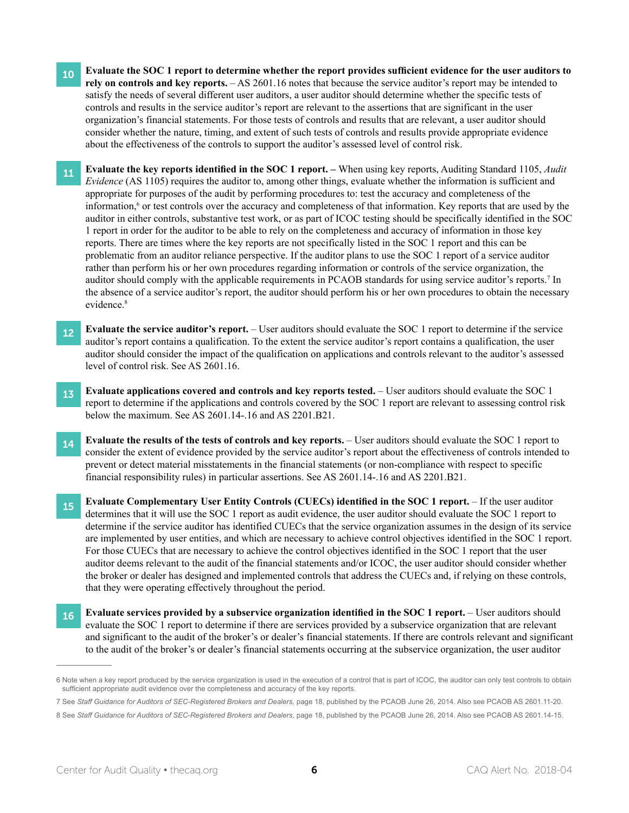- 10 Evaluate the SOC 1 report to determine whether the report provides sufficient evidence for the user auditors to **rely on controls and key reports.** – AS 2601.16 notes that because the service auditor's report may be intended to satisfy the needs of several different user auditors, a user auditor should determine whether the specific tests of controls and results in the service auditor's report are relevant to the assertions that are significant in the user organization's financial statements. For those tests of controls and results that are relevant, a user auditor should consider whether the nature, timing, and extent of such tests of controls and results provide appropriate evidence about the effectiveness of the controls to support the auditor's assessed level of control risk.
- <sup>11</sup> **Evaluate the key reports identified in the SOC <sup>1</sup> report. –** When using key reports, Auditing Standard 1105, *Audit Evidence* (AS 1105) requires the auditor to, among other things, evaluate whether the information is sufficient and appropriate for purposes of the audit by performing procedures to: test the accuracy and completeness of the information,<sup>6</sup> or test controls over the accuracy and completeness of that information. Key reports that are used by the auditor in either controls, substantive test work, or as part of ICOC testing should be specifically identified in the SOC 1 report in order for the auditor to be able to rely on the completeness and accuracy of information in those key reports. There are times where the key reports are not specifically listed in the SOC 1 report and this can be problematic from an auditor reliance perspective. If the auditor plans to use the SOC 1 report of a service auditor rather than perform his or her own procedures regarding information or controls of the service organization, the auditor should comply with the applicable requirements in PCAOB standards for using service auditor's reports.<sup>7</sup> In the absence of a service auditor's report, the auditor should perform his or her own procedures to obtain the necessary evidence.<sup>8</sup>
- **Evaluate the service auditor's report.** User auditors should evaluate the SOC 1 report to determine if the service auditor's report contains a qualification. To the extent the service auditor's report contains a qualification, the user auditor should consider the impact of the qualification on applications and controls relevant to the auditor's assessed level of control risk. See AS 2601.16.
- **13 Evaluate applications covered and controls and key reports tested.** User auditors should evaluate the SOC 1 report to determine if the applications and controls covered by the SOC 1 report are relevant to assessing control risk below the maximum. See AS 2601.14-.16 and AS 2201.B21.
- **14 Evaluate the results of the tests of controls and key reports.** User auditors should evaluate the SOC 1 report to consider the extent of evidence provided by the service auditor's report about the effectiveness of controls intended to prevent or detect material misstatements in the financial statements (or non-compliance with respect to specific financial responsibility rules) in particular assertions. See AS 2601.14-.16 and AS 2201.B21.
- <sup>15</sup> **Evaluate Complementary User Entity Controls (CUECs) identified in the SOC <sup>1</sup> report.** If the user auditor determines that it will use the SOC 1 report as audit evidence, the user auditor should evaluate the SOC 1 report to determine if the service auditor has identified CUECs that the service organization assumes in the design of its service are implemented by user entities, and which are necessary to achieve control objectives identified in the SOC 1 report. For those CUECs that are necessary to achieve the control objectives identified in the SOC 1 report that the user auditor deems relevant to the audit of the financial statements and/or ICOC, the user auditor should consider whether the broker or dealer has designed and implemented controls that address the CUECs and, if relying on these controls, that they were operating effectively throughout the period.
- 16 **Evaluate services provided by a subservice organization identified in the SOC 1 report.** User auditors should evaluate the SOC 1 report to determine if there are services provided by a subservice organization that are relevant and significant to the audit of the broker's or dealer's financial statements. If there are controls relevant and significant to the audit of the broker's or dealer's financial statements occurring at the subservice organization, the user auditor

- 7 See *Staff Guidance for Auditors of SEC-Registered Brokers and Dealers,* page 18, published by the PCAOB June 26, 2014. Also see PCAOB AS 2601.11-20.
- 8 See Staff Guidance for Auditors of SEC-Registered Brokers and Dealers, page 18, published by the PCAOB June 26, 2014. Also see PCAOB AS 2601.14-15.

<sup>6</sup> Note when a key report produced by the service organization is used in the execution of a control that is part of ICOC, the auditor can only test controls to obtain sufficient appropriate audit evidence over the completeness and accuracy of the key reports.